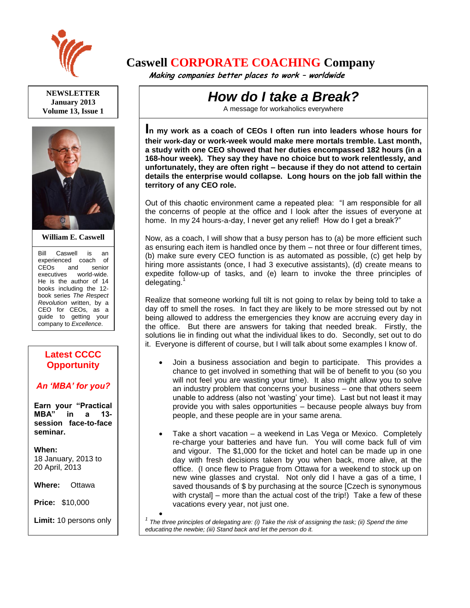

**NEWSLETTER January 2013 Volume 13, Issue 1**



**William E. Caswell**

Bill Caswell is an experienced coach of CEOs and senior executives world-wide. He is the author of 14 books including the 12 book series *The Respect Revolution* written, by a CEO for CEOs, as a guide to getting your company to *Excellence*.

## **Latest CCCC Opportunity**

*An 'MBA' for you?*

**Earn your "Practical MBA" in a 13 session face-to-face seminar.**

**When:**  18 January, 2013 to 20 April, 2013

**Where:** Ottawa

**Price:** \$10,000

**Limit:** 10 persons only

Ask for more details.

## **Caswell CORPORATE COACHING Company**

 **Making companies better places to work – worldwide**

## *How do I take a Break?*

A message for workaholics everywhere

**I<sup>n</sup> my work as a coach of CEOs I often run into leaders whose hours for their work-day or work-week would make mere mortals tremble. Last month, a study with one CEO showed that her duties encompassed 182 hours (in a 168-hour week). They say they have no choice but to work relentlessly, and unfortunately, they are often right – because if they do not attend to certain details the enterprise would collapse. Long hours on the job fall within the territory of any CEO role.**

Out of this chaotic environment came a repeated plea: "I am responsible for all the concerns of people at the office and I look after the issues of everyone at home. In my 24 hours-a-day, I never get any relief! How do I get a break?"

Now, as a coach, I will show that a busy person has to (a) be more efficient such as ensuring each item is handled once by them – not three or four different times, (b) make sure every CEO function is as automated as possible, (c) get help by hiring more assistants (once, I had 3 executive assistants), (d) create means to expedite follow-up of tasks, and (e) learn to invoke the three principles of delegating.<sup>1</sup>

Realize that someone working full tilt is not going to relax by being told to take a day off to smell the roses. In fact they are likely to be more stressed out by not being allowed to address the emergencies they know are accruing every day in the office. But there are answers for taking that needed break. Firstly, the solutions lie in finding out what the individual likes to do. Secondly, set out to do it. Everyone is different of course, but I will talk about some examples I know of.

- Join a business association and begin to participate. This provides a chance to get involved in something that will be of benefit to you (so you will not feel you are wasting your time). It also might allow you to solve an industry problem that concerns your business – one that others seem unable to address (also not 'wasting' your time). Last but not least it may provide you with sales opportunities – because people always buy from people, and these people are in your same arena.
- Take a short vacation a weekend in Las Vega or Mexico. Completely re-charge your batteries and have fun. You will come back full of vim and vigour. The \$1,000 for the ticket and hotel can be made up in one day with fresh decisions taken by you when back, more alive, at the office. (I once flew to Prague from Ottawa for a weekend to stock up on new wine glasses and crystal. Not only did I have a gas of a time, I saved thousands of \$ by purchasing at the source [Czech is synonymous with crystal] – more than the actual cost of the trip!) Take a few of these vacations every year, not just one.

 $\bullet$ *1 The three principles of delegating are: (i) Take the risk of assigning the task; (ii) Spend the time educating the newbie; (iii) Stand back and let the person do it.*